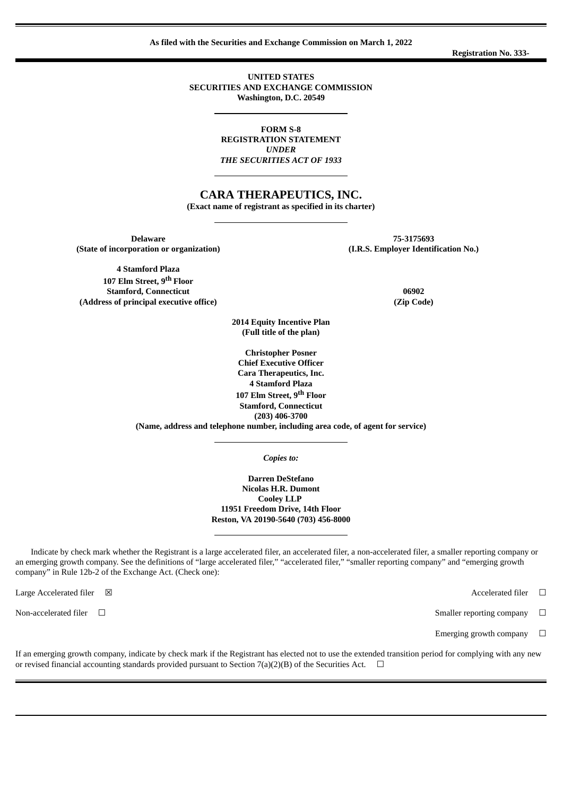**As filed with the Securities and Exchange Commission on March 1, 2022**

**Registration No. 333-**

**UNITED STATES SECURITIES AND EXCHANGE COMMISSION Washington, D.C. 20549**

> **FORM S-8 REGISTRATION STATEMENT** *UNDER THE SECURITIES ACT OF 1933*

# **CARA THERAPEUTICS, INC.**

**(Exact name of registrant as specified in its charter)**

**Delaware 75-3175693 (State of incorporation or organization) (I.R.S. Employer Identification No.)**

**4 Stamford Plaza 107 Elm Street, 9 th Floor Stamford, Connecticut 06902 (Address of principal executive office) (Zip Code)**

**2014 Equity Incentive Plan (Full title of the plan)**

**Christopher Posner Chief Executive Officer Cara Therapeutics, Inc. 4 Stamford Plaza 107 Elm Street, 9 th Floor Stamford, Connecticut (203) 406-3700 (Name, address and telephone number, including area code, of agent for service)**

*Copies to:*

**Darren DeStefano Nicolas H.R. Dumont Cooley LLP 11951 Freedom Drive, 14th Floor Reston, VA 20190-5640 (703) 456-8000**

Indicate by check mark whether the Registrant is a large accelerated filer, an accelerated filer, a non-accelerated filer, a smaller reporting company or an emerging growth company. See the definitions of "large accelerated filer," "accelerated filer," "smaller reporting company" and "emerging growth company" in Rule 12b-2 of the Exchange Act. (Check one):

Large Accelerated filer ⊠ and some state of the state of the state of the state of the state of the state of the state of the state of the state of the state of the state of the state of the state of the state of the stat

Emerging growth company  $\Box$ 

If an emerging growth company, indicate by check mark if the Registrant has elected not to use the extended transition period for complying with any new or revised financial accounting standards provided pursuant to Section 7(a)(2)(B) of the Securities Act.  $\Box$ 

Non-accelerated filer <del>□</del>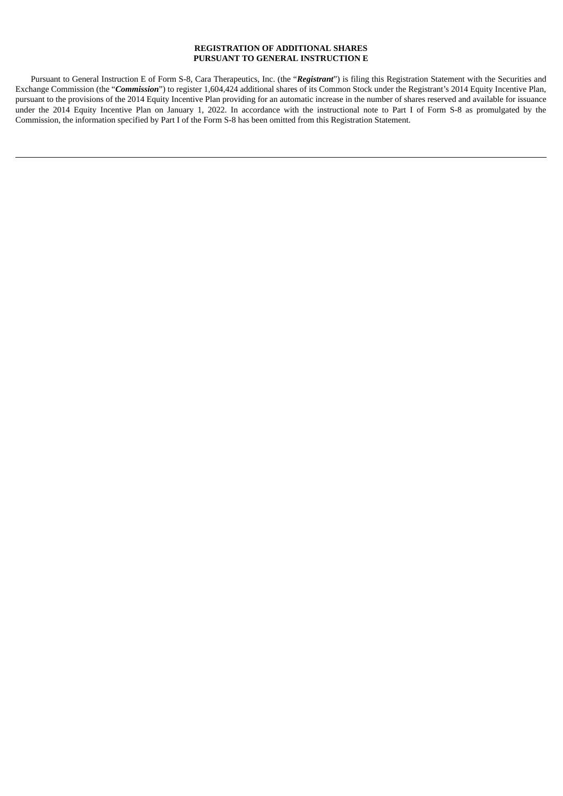# **REGISTRATION OF ADDITIONAL SHARES PURSUANT TO GENERAL INSTRUCTION E**

Pursuant to General Instruction E of Form S-8, Cara Therapeutics, Inc. (the "*Registrant*") is filing this Registration Statement with the Securities and Exchange Commission (the "*Commission*") to register 1,604,424 additional shares of its Common Stock under the Registrant's 2014 Equity Incentive Plan, pursuant to the provisions of the 2014 Equity Incentive Plan providing for an automatic increase in the number of shares reserved and available for issuance under the 2014 Equity Incentive Plan on January 1, 2022. In accordance with the instructional note to Part I of Form S-8 as promulgated by the Commission, the information specified by Part I of the Form S-8 has been omitted from this Registration Statement.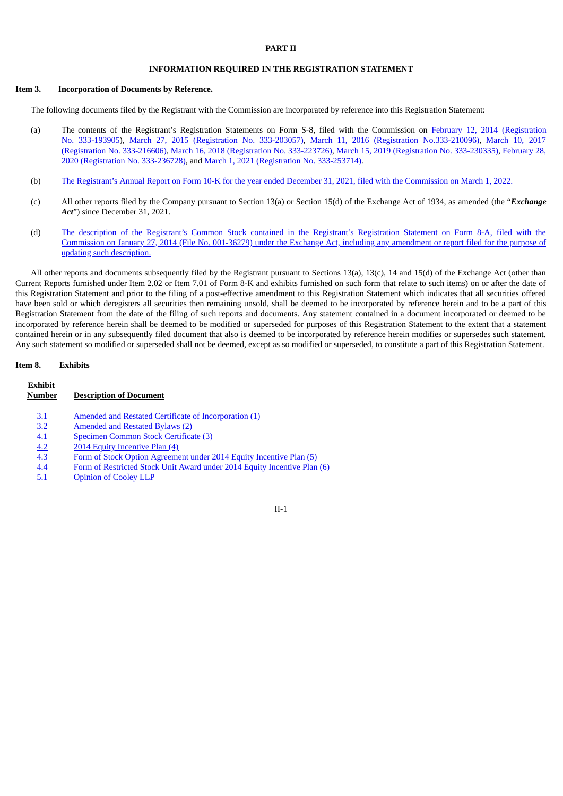## **PART II**

#### **INFORMATION REQUIRED IN THE REGISTRATION STATEMENT**

#### **Item 3. Incorporation of Documents by Reference.**

The following documents filed by the Registrant with the Commission are incorporated by reference into this Registration Statement:

- (a) The contents of the Registrant's Registration Statements on Form S-8, filed with the Commission on February 12, 2014 (Registration No. 333-193905), March 27, 2015 [\(Registration](https://www.sec.gov/Archives/edgar/data/1346830/000119312515108793/d895390ds8.htm) No. 333-203057), March 11, 2016 (Registration [No.333-210096\),](https://www.sec.gov/Archives/edgar/data/1346830/000119312514048063/d672350ds8.htm) March 10, 2017 (Registration No. 333-216606), March 16, 2018 [\(Registration](https://www.sec.gov/Archives/edgar/data/1346830/000119312518085839/d507939ds8.htm) No. 333-223726), March 15, 2019 [\(Registration](https://www.sec.gov/Archives/edgar/data/1346830/000119312519076784/d629127ds8.htm) No. 333-230335), February 28, 2020 (Registration No. 333-236728), and March 1, 2021 [\(Registration](https://www.sec.gov/Archives/edgar/data/1346830/000110465921030022/tm217946d2_s8.htm) No. [333-253714\).](https://www.sec.gov/Archives/edgar/data/1346830/000110465920026349/tm2011122-1_s8.htm)
- (b) The Registrant's Annual Report on Form 10-K for the year ended December 31, 2021, filed with the [Commission](https://www.sec.gov/ix?doc=/Archives/edgar/data/1346830/000155837022002555/cara-20211231x10k.htm) on March 1, 2022.
- (c) All other reports filed by the Company pursuant to Section 13(a) or Section 15(d) of the Exchange Act of 1934, as amended (the "*Exchange Act*") since December 31, 2021.
- (d) The description of the Registrant's Common Stock contained in the Registrant's Registration Statement on Form 8-A, filed with the [Commission](https://www.sec.gov/Archives/edgar/data/1346830/000119312514022239/d663094d8a12b.htm) on January 27, 2014 (File No. 001-36279) under the Exchange Act, including any amendment or report filed for the purpose of updating such description.

All other reports and documents subsequently filed by the Registrant pursuant to Sections 13(a), 13(c), 14 and 15(d) of the Exchange Act (other than Current Reports furnished under Item 2.02 or Item 7.01 of Form 8-K and exhibits furnished on such form that relate to such items) on or after the date of this Registration Statement and prior to the filing of a post-effective amendment to this Registration Statement which indicates that all securities offered have been sold or which deregisters all securities then remaining unsold, shall be deemed to be incorporated by reference herein and to be a part of this Registration Statement from the date of the filing of such reports and documents. Any statement contained in a document incorporated or deemed to be incorporated by reference herein shall be deemed to be modified or superseded for purposes of this Registration Statement to the extent that a statement contained herein or in any subsequently filed document that also is deemed to be incorporated by reference herein modifies or supersedes such statement. Any such statement so modified or superseded shall not be deemed, except as so modified or superseded, to constitute a part of this Registration Statement.

#### **Item 8. Exhibits**

| Exhibit<br>Number | <b>Description of Document</b>                                           |
|-------------------|--------------------------------------------------------------------------|
| <u>3.1</u>        | Amended and Restated Certificate of Incorporation (1)                    |
| 3.2               | Amended and Restated Bylaws (2)                                          |
| 4.1               | Specimen Common Stock Certificate (3)                                    |
| 4.2               | 2014 Equity Incentive Plan (4)                                           |
| 4.3               | Form of Stock Option Agreement under 2014 Equity Incentive Plan (5)      |
| 4.4               | Form of Restricted Stock Unit Award under 2014 Equity Incentive Plan (6) |
| <u>5.1</u>        | <b>Opinion of Cooley LLP</b>                                             |

II-1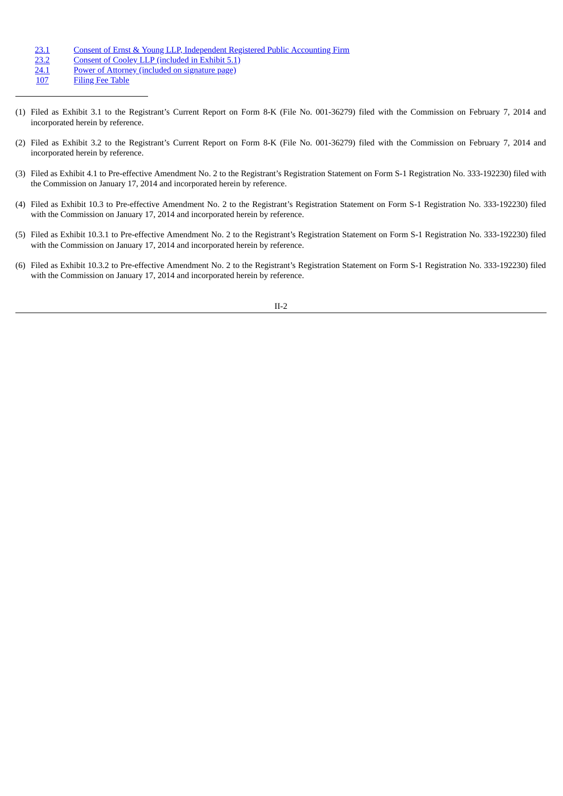- [23.1](#page-7-0) Consent of Ernst & Young LLP, [Independent](#page-7-0) Registered Public Accounting Firm<br>23.2 Consent of Cooley LLP (included in Exhibit 5.1)
- [23.2](https://www.sec.gov/Archives/edgar/data/0001346830/000110465921030022/tm217946d2_ex5-1.htm) Consent of Cooley LLP [\(included](https://www.sec.gov/Archives/edgar/data/0001346830/000110465921030022/tm217946d2_ex5-1.htm) in Exhibit 5.1)<br>24.1 Power of Attorney (included on signature page)
- [24.1](https://www.sec.gov/Archives/edgar/data/0001346830/000110465921030022/tm217946d2_s8.htm#a_001) Power of Attorney [\(included](https://www.sec.gov/Archives/edgar/data/0001346830/000110465921030022/tm217946d2_s8.htm#a_001) on signature page)<br>107 Filing Fee Table
- **[Filing](#page-8-0) Fee Table**
- (1) Filed as Exhibit 3.1 to the Registrant's Current Report on Form 8-K (File No. 001-36279) filed with the Commission on February 7, 2014 and incorporated herein by reference.
- (2) Filed as Exhibit 3.2 to the Registrant's Current Report on Form 8-K (File No. 001-36279) filed with the Commission on February 7, 2014 and incorporated herein by reference.
- (3) Filed as Exhibit 4.1 to Pre-effective Amendment No. 2 to the Registrant's Registration Statement on Form S-1 Registration No. 333-192230) filed with the Commission on January 17, 2014 and incorporated herein by reference.
- (4) Filed as Exhibit 10.3 to Pre-effective Amendment No. 2 to the Registrant's Registration Statement on Form S-1 Registration No. 333-192230) filed with the Commission on January 17, 2014 and incorporated herein by reference.
- (5) Filed as Exhibit 10.3.1 to Pre-effective Amendment No. 2 to the Registrant's Registration Statement on Form S-1 Registration No. 333-192230) filed with the Commission on January 17, 2014 and incorporated herein by reference.
- (6) Filed as Exhibit 10.3.2 to Pre-effective Amendment No. 2 to the Registrant's Registration Statement on Form S-1 Registration No. 333-192230) filed with the Commission on January 17, 2014 and incorporated herein by reference.

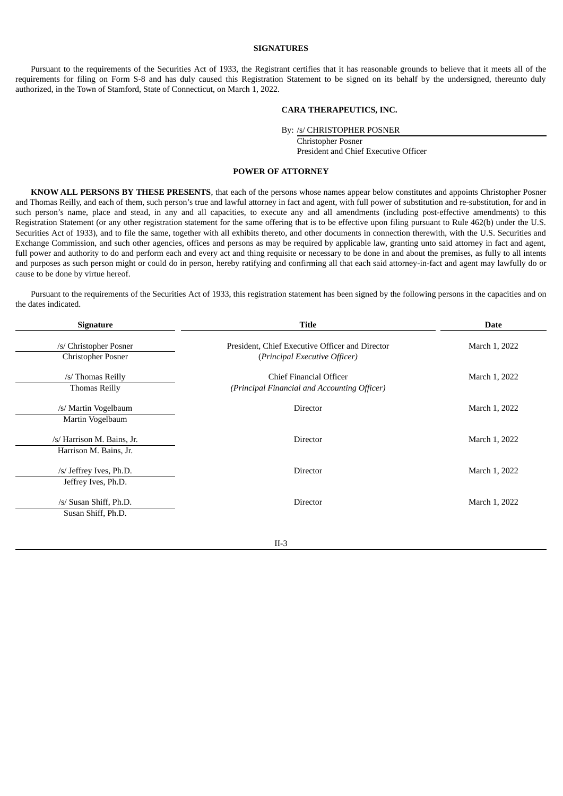# **SIGNATURES**

Pursuant to the requirements of the Securities Act of 1933, the Registrant certifies that it has reasonable grounds to believe that it meets all of the requirements for filing on Form S-8 and has duly caused this Registration Statement to be signed on its behalf by the undersigned, thereunto duly authorized, in the Town of Stamford, State of Connecticut, on March 1, 2022.

# **CARA THERAPEUTICS, INC.**

By: /s/ CHRISTOPHER POSNER

Christopher Posner President and Chief Executive Officer

#### **POWER OF ATTORNEY**

**KNOW ALL PERSONS BY THESE PRESENTS**, that each of the persons whose names appear below constitutes and appoints Christopher Posner and Thomas Reilly, and each of them, such person's true and lawful attorney in fact and agent, with full power of substitution and re-substitution, for and in such person's name, place and stead, in any and all capacities, to execute any and all amendments (including post-effective amendments) to this Registration Statement (or any other registration statement for the same offering that is to be effective upon filing pursuant to Rule 462(b) under the U.S. Securities Act of 1933), and to file the same, together with all exhibits thereto, and other documents in connection therewith, with the U.S. Securities and Exchange Commission, and such other agencies, offices and persons as may be required by applicable law, granting unto said attorney in fact and agent, full power and authority to do and perform each and every act and thing requisite or necessary to be done in and about the premises, as fully to all intents and purposes as such person might or could do in person, hereby ratifying and confirming all that each said attorney-in-fact and agent may lawfully do or cause to be done by virtue hereof.

Pursuant to the requirements of the Securities Act of 1933, this registration statement has been signed by the following persons in the capacities and on the dates indicated.

| <b>Signature</b>                                     | <b>Title</b>                                                                     | <b>Date</b>   |  |  |  |
|------------------------------------------------------|----------------------------------------------------------------------------------|---------------|--|--|--|
| /s/ Christopher Posner<br><b>Christopher Posner</b>  | President, Chief Executive Officer and Director<br>(Principal Executive Officer) | March 1, 2022 |  |  |  |
| /s/ Thomas Reilly<br><b>Thomas Reilly</b>            | Chief Financial Officer<br>(Principal Financial and Accounting Officer)          | March 1, 2022 |  |  |  |
| /s/ Martin Vogelbaum<br>Martin Vogelbaum             | Director                                                                         | March 1, 2022 |  |  |  |
| /s/ Harrison M. Bains, Jr.<br>Harrison M. Bains, Jr. | Director                                                                         | March 1, 2022 |  |  |  |
| /s/ Jeffrey Ives, Ph.D.<br>Jeffrey Ives, Ph.D.       | Director                                                                         | March 1, 2022 |  |  |  |
| /s/ Susan Shiff, Ph.D.<br>Susan Shiff, Ph.D.         | <b>Director</b>                                                                  | March 1, 2022 |  |  |  |
|                                                      |                                                                                  |               |  |  |  |

II-3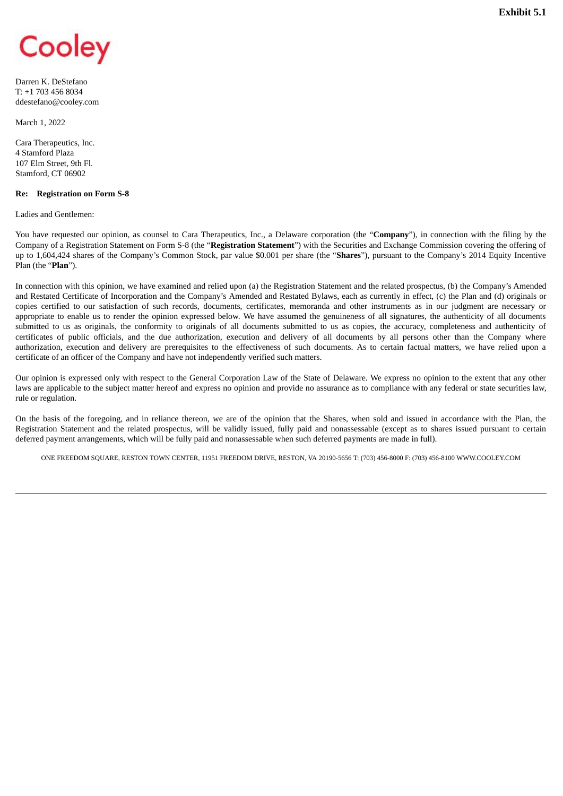<span id="page-5-0"></span>

Darren K. DeStefano T: +1 703 456 8034 ddestefano@cooley.com

March 1, 2022

Cara Therapeutics, Inc. 4 Stamford Plaza 107 Elm Street, 9th Fl. Stamford, CT 06902

#### **Re: Registration on Form S-8**

Ladies and Gentlemen:

You have requested our opinion, as counsel to Cara Therapeutics, Inc., a Delaware corporation (the "**Company**"), in connection with the filing by the Company of a Registration Statement on Form S-8 (the "**Registration Statement**") with the Securities and Exchange Commission covering the offering of up to 1,604,424 shares of the Company's Common Stock, par value \$0.001 per share (the "**Shares**"), pursuant to the Company's 2014 Equity Incentive Plan (the "**Plan**").

In connection with this opinion, we have examined and relied upon (a) the Registration Statement and the related prospectus, (b) the Company's Amended and Restated Certificate of Incorporation and the Company's Amended and Restated Bylaws, each as currently in effect, (c) the Plan and (d) originals or copies certified to our satisfaction of such records, documents, certificates, memoranda and other instruments as in our judgment are necessary or appropriate to enable us to render the opinion expressed below. We have assumed the genuineness of all signatures, the authenticity of all documents submitted to us as originals, the conformity to originals of all documents submitted to us as copies, the accuracy, completeness and authenticity of certificates of public officials, and the due authorization, execution and delivery of all documents by all persons other than the Company where authorization, execution and delivery are prerequisites to the effectiveness of such documents. As to certain factual matters, we have relied upon a certificate of an officer of the Company and have not independently verified such matters.

Our opinion is expressed only with respect to the General Corporation Law of the State of Delaware. We express no opinion to the extent that any other laws are applicable to the subject matter hereof and express no opinion and provide no assurance as to compliance with any federal or state securities law, rule or regulation.

On the basis of the foregoing, and in reliance thereon, we are of the opinion that the Shares, when sold and issued in accordance with the Plan, the Registration Statement and the related prospectus, will be validly issued, fully paid and nonassessable (except as to shares issued pursuant to certain deferred payment arrangements, which will be fully paid and nonassessable when such deferred payments are made in full).

ONE FREEDOM SQUARE, RESTON TOWN CENTER, 11951 FREEDOM DRIVE, RESTON, VA 20190-5656 T: (703) 456-8000 F: (703) 456-8100 WWW.COOLEY.COM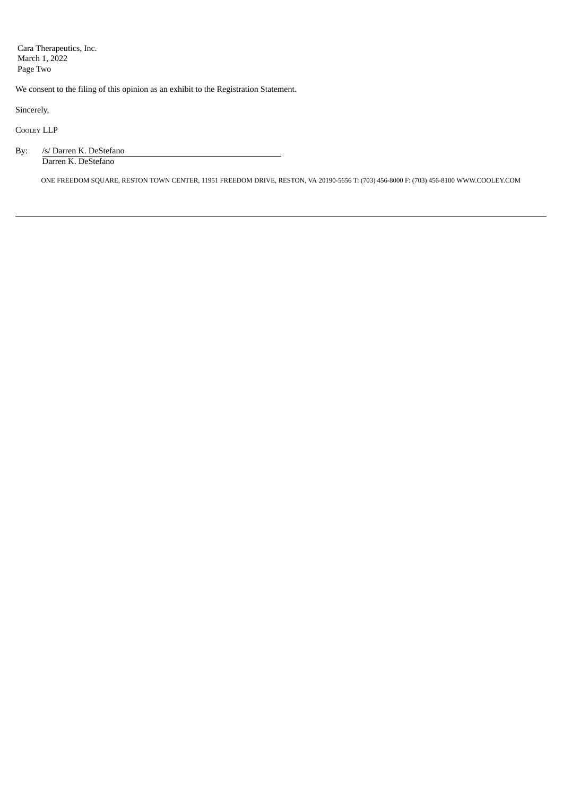Cara Therapeutics, Inc. March 1, 2022 Page Two

We consent to the filing of this opinion as an exhibit to the Registration Statement.

Sincerely,

COOLEY LLP

| By: | /s/ Darren K. DeStefano |  |  |  |  |  |
|-----|-------------------------|--|--|--|--|--|
|     | Darren K. DeStefano     |  |  |  |  |  |

ONE FREEDOM SQUARE, RESTON TOWN CENTER, 11951 FREEDOM DRIVE, RESTON, VA 20190-5656 T: (703) 456-8000 F: (703) 456-8100 WWW.COOLEY.COM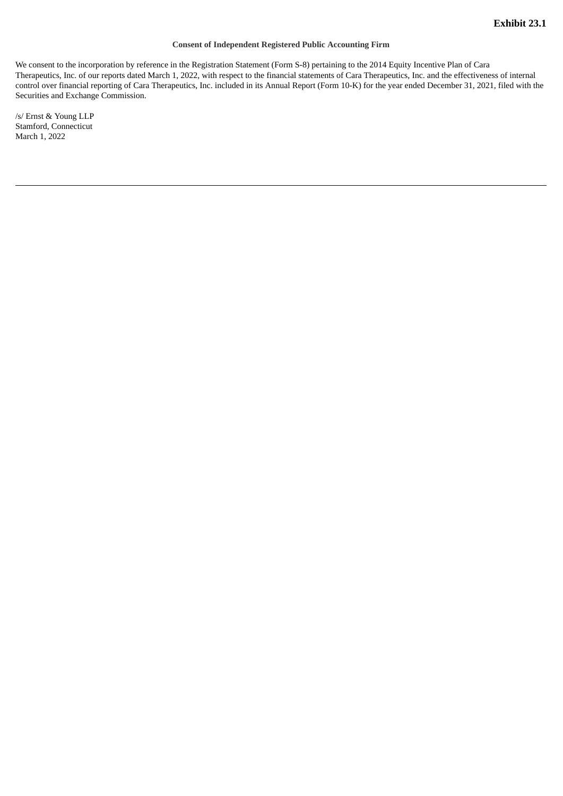### **Consent of Independent Registered Public Accounting Firm**

<span id="page-7-0"></span>We consent to the incorporation by reference in the Registration Statement (Form S-8) pertaining to the 2014 Equity Incentive Plan of Cara Therapeutics, Inc. of our reports dated March 1, 2022, with respect to the financial statements of Cara Therapeutics, Inc. and the effectiveness of internal control over financial reporting of Cara Therapeutics, Inc. included in its Annual Report (Form 10-K) for the year ended December 31, 2021, filed with the Securities and Exchange Commission.

/s/ Ernst & Young LLP Stamford, Connecticut March 1, 2022